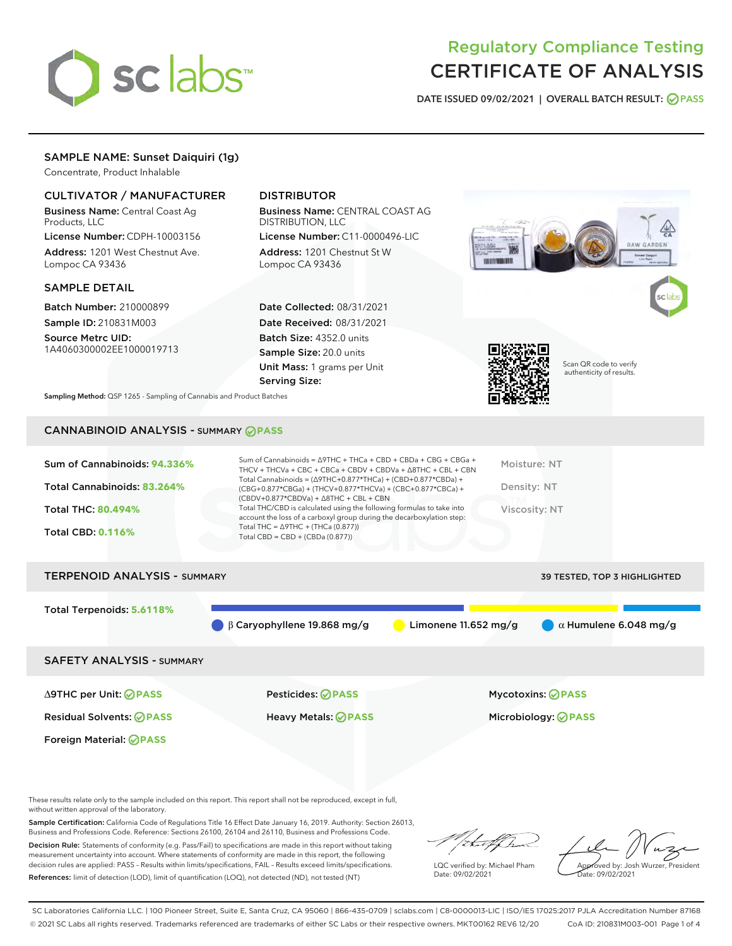

# Regulatory Compliance Testing CERTIFICATE OF ANALYSIS

DATE ISSUED 09/02/2021 | OVERALL BATCH RESULT: @ PASS

# SAMPLE NAME: Sunset Daiquiri (1g)

Concentrate, Product Inhalable

## CULTIVATOR / MANUFACTURER

Business Name: Central Coast Ag Products, LLC

License Number: CDPH-10003156 Address: 1201 West Chestnut Ave. Lompoc CA 93436

#### SAMPLE DETAIL

Batch Number: 210000899 Sample ID: 210831M003

Source Metrc UID: 1A4060300002EE1000019713

# DISTRIBUTOR

Business Name: CENTRAL COAST AG DISTRIBUTION, LLC

License Number: C11-0000496-LIC Address: 1201 Chestnut St W Lompoc CA 93436

Date Collected: 08/31/2021 Date Received: 08/31/2021 Batch Size: 4352.0 units Sample Size: 20.0 units Unit Mass: 1 grams per Unit Serving Size:





Scan QR code to verify authenticity of results.

Sampling Method: QSP 1265 - Sampling of Cannabis and Product Batches

# CANNABINOID ANALYSIS - SUMMARY **PASS**

| Sum of Cannabinoids: 94.336% | Sum of Cannabinoids = ∆9THC + THCa + CBD + CBDa + CBG + CBGa +<br>THCV + THCVa + CBC + CBCa + CBDV + CBDVa + $\Delta$ 8THC + CBL + CBN                                               | Moisture: NT  |
|------------------------------|--------------------------------------------------------------------------------------------------------------------------------------------------------------------------------------|---------------|
| Total Cannabinoids: 83.264%  | Total Cannabinoids = $(\Delta$ 9THC+0.877*THCa) + (CBD+0.877*CBDa) +<br>(CBG+0.877*CBGa) + (THCV+0.877*THCVa) + (CBC+0.877*CBCa) +<br>$(CBDV+0.877*CBDVa) + \Delta 8THC + CBL + CBN$ | Density: NT   |
| <b>Total THC: 80.494%</b>    | Total THC/CBD is calculated using the following formulas to take into<br>account the loss of a carboxyl group during the decarboxylation step:                                       | Viscosity: NT |
| <b>Total CBD: 0.116%</b>     | Total THC = $\triangle$ 9THC + (THCa (0.877))<br>Total CBD = $CBD + (CBDa (0.877))$                                                                                                  |               |
|                              |                                                                                                                                                                                      |               |

# TERPENOID ANALYSIS - SUMMARY 39 TESTED, TOP 3 HIGHLIGHTED Total Terpenoids: **5.6118%** β Caryophyllene 19.868 mg/g **b** Limonene 11.652 mg/g  $\alpha$  Humulene 6.048 mg/g SAFETY ANALYSIS - SUMMARY

Foreign Material: **PASS**

∆9THC per Unit: **PASS** Pesticides: **PASS** Mycotoxins: **PASS**

Residual Solvents: **PASS** Heavy Metals: **PASS** Microbiology: **PASS**

These results relate only to the sample included on this report. This report shall not be reproduced, except in full, without written approval of the laboratory.

Sample Certification: California Code of Regulations Title 16 Effect Date January 16, 2019. Authority: Section 26013, Business and Professions Code. Reference: Sections 26100, 26104 and 26110, Business and Professions Code. Decision Rule: Statements of conformity (e.g. Pass/Fail) to specifications are made in this report without taking

measurement uncertainty into account. Where statements of conformity are made in this report, the following decision rules are applied: PASS – Results within limits/specifications, FAIL – Results exceed limits/specifications. References: limit of detection (LOD), limit of quantification (LOQ), not detected (ND), not tested (NT)

that f

LQC verified by: Michael Pham Date: 09/02/2021

Approved by: Josh Wurzer, President ate: 09/02/2021

SC Laboratories California LLC. | 100 Pioneer Street, Suite E, Santa Cruz, CA 95060 | 866-435-0709 | sclabs.com | C8-0000013-LIC | ISO/IES 17025:2017 PJLA Accreditation Number 87168 © 2021 SC Labs all rights reserved. Trademarks referenced are trademarks of either SC Labs or their respective owners. MKT00162 REV6 12/20 CoA ID: 210831M003-001 Page 1 of 4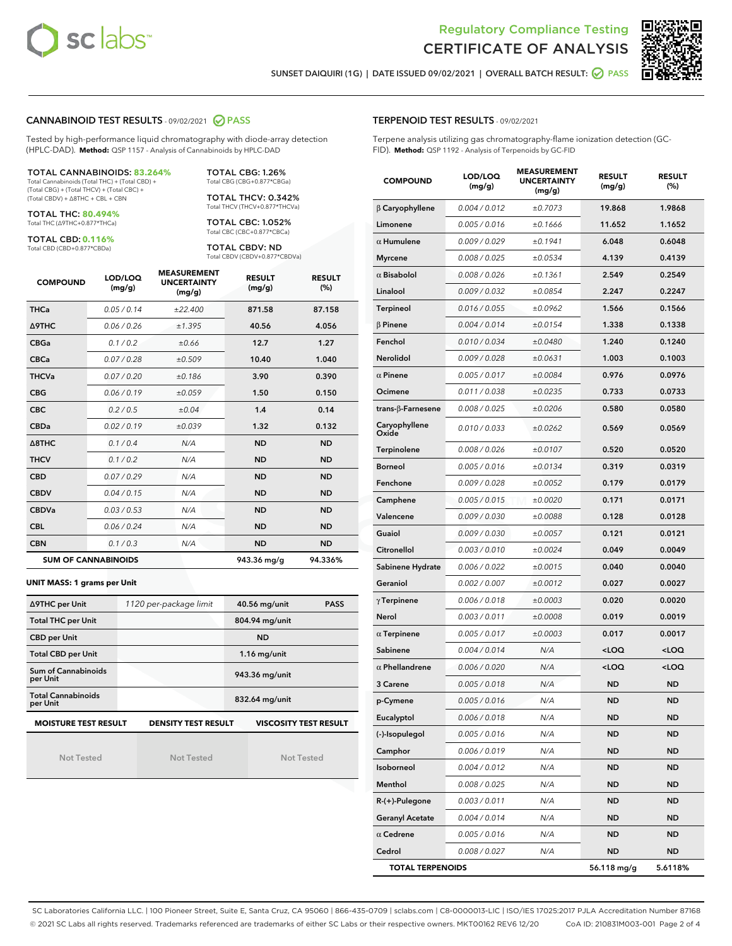



SUNSET DAIQUIRI (1G) | DATE ISSUED 09/02/2021 | OVERALL BATCH RESULT: **○** PASS

#### CANNABINOID TEST RESULTS - 09/02/2021 2 PASS

Tested by high-performance liquid chromatography with diode-array detection (HPLC-DAD). **Method:** QSP 1157 - Analysis of Cannabinoids by HPLC-DAD

#### TOTAL CANNABINOIDS: **83.264%**

Total Cannabinoids (Total THC) + (Total CBD) + (Total CBG) + (Total THCV) + (Total CBC) + (Total CBDV) + ∆8THC + CBL + CBN

TOTAL THC: **80.494%** Total THC (∆9THC+0.877\*THCa)

TOTAL CBD: **0.116%**

Total CBD (CBD+0.877\*CBDa)

TOTAL CBG: 1.26% Total CBG (CBG+0.877\*CBGa)

TOTAL THCV: 0.342% Total THCV (THCV+0.877\*THCVa)

TOTAL CBC: 1.052% Total CBC (CBC+0.877\*CBCa)

TOTAL CBDV: ND Total CBDV (CBDV+0.877\*CBDVa)

| <b>COMPOUND</b>  | LOD/LOQ<br>(mg/g)          | <b>MEASUREMENT</b><br><b>UNCERTAINTY</b><br>(mg/g) | <b>RESULT</b><br>(mg/g) | <b>RESULT</b><br>(%) |
|------------------|----------------------------|----------------------------------------------------|-------------------------|----------------------|
| <b>THCa</b>      | 0.05/0.14                  | ±22.400                                            | 871.58                  | 87.158               |
| <b>A9THC</b>     | 0.06 / 0.26                | ±1.395                                             | 40.56                   | 4.056                |
| <b>CBGa</b>      | 0.1 / 0.2                  | ±0.66                                              | 12.7                    | 1.27                 |
| <b>CBCa</b>      | 0.07/0.28                  | ±0.509                                             | 10.40                   | 1.040                |
| <b>THCVa</b>     | 0.07/0.20                  | ±0.186                                             | 3.90                    | 0.390                |
| <b>CBG</b>       | 0.06/0.19                  | ±0.059                                             | 1.50                    | 0.150                |
| <b>CBC</b>       | 0.2 / 0.5                  | ±0.04                                              | 1.4                     | 0.14                 |
| <b>CBDa</b>      | 0.02/0.19                  | ±0.039                                             | 1.32                    | 0.132                |
| $\triangle$ 8THC | 0.1/0.4                    | N/A                                                | <b>ND</b>               | <b>ND</b>            |
| <b>THCV</b>      | 0.1/0.2                    | N/A                                                | <b>ND</b>               | <b>ND</b>            |
| <b>CBD</b>       | 0.07/0.29                  | N/A                                                | <b>ND</b>               | <b>ND</b>            |
| <b>CBDV</b>      | 0.04 / 0.15                | N/A                                                | <b>ND</b>               | <b>ND</b>            |
| <b>CBDVa</b>     | 0.03/0.53                  | N/A                                                | <b>ND</b>               | <b>ND</b>            |
| <b>CBL</b>       | 0.06 / 0.24                | N/A                                                | <b>ND</b>               | <b>ND</b>            |
| <b>CBN</b>       | 0.1/0.3                    | N/A                                                | <b>ND</b>               | <b>ND</b>            |
|                  | <b>SUM OF CANNABINOIDS</b> |                                                    | 943.36 mg/g             | 94.336%              |

#### **UNIT MASS: 1 grams per Unit**

| ∆9THC per Unit                        | 1120 per-package limit     | 40.56 mg/unit<br><b>PASS</b> |
|---------------------------------------|----------------------------|------------------------------|
| <b>Total THC per Unit</b>             |                            | 804.94 mg/unit               |
| <b>CBD per Unit</b>                   |                            | <b>ND</b>                    |
| <b>Total CBD per Unit</b>             |                            | $1.16$ mg/unit               |
| Sum of Cannabinoids<br>per Unit       |                            | 943.36 mg/unit               |
| <b>Total Cannabinoids</b><br>per Unit |                            | 832.64 mg/unit               |
| <b>MOISTURE TEST RESULT</b>           | <b>DENSITY TEST RESULT</b> | <b>VISCOSITY TEST RESULT</b> |

Not Tested

Not Tested

Not Tested

#### TERPENOID TEST RESULTS - 09/02/2021

Terpene analysis utilizing gas chromatography-flame ionization detection (GC-FID). **Method:** QSP 1192 - Analysis of Terpenoids by GC-FID

| <b>COMPOUND</b>          | LOD/LOQ<br>(mg/g) | <b>MEASUREMENT</b><br><b>UNCERTAINTY</b><br>(mg/g) | <b>RESULT</b><br>(mg/g)                         | <b>RESULT</b><br>$(\%)$ |
|--------------------------|-------------------|----------------------------------------------------|-------------------------------------------------|-------------------------|
| $\beta$ Caryophyllene    | 0.004 / 0.012     | ±0.7073                                            | 19.868                                          | 1.9868                  |
| Limonene                 | 0.005 / 0.016     | ±0.1666                                            | 11.652                                          | 1.1652                  |
| $\alpha$ Humulene        | 0.009 / 0.029     | ±0.1941                                            | 6.048                                           | 0.6048                  |
| Myrcene                  | 0.008 / 0.025     | ±0.0534                                            | 4.139                                           | 0.4139                  |
| $\alpha$ Bisabolol       | 0.008 / 0.026     | ±0.1361                                            | 2.549                                           | 0.2549                  |
| Linalool                 | 0.009 / 0.032     | ±0.0854                                            | 2.247                                           | 0.2247                  |
| <b>Terpineol</b>         | 0.016 / 0.055     | ±0.0962                                            | 1.566                                           | 0.1566                  |
| $\beta$ Pinene           | 0.004 / 0.014     | ±0.0154                                            | 1.338                                           | 0.1338                  |
| Fenchol                  | 0.010 / 0.034     | ±0.0480                                            | 1.240                                           | 0.1240                  |
| Nerolidol                | 0.009 / 0.028     | ±0.0631                                            | 1.003                                           | 0.1003                  |
| $\alpha$ Pinene          | 0.005 / 0.017     | ±0.0084                                            | 0.976                                           | 0.0976                  |
| Ocimene                  | 0.011 / 0.038     | ±0.0235                                            | 0.733                                           | 0.0733                  |
| $trans-\beta$ -Farnesene | 0.008 / 0.025     | ±0.0206                                            | 0.580                                           | 0.0580                  |
| Caryophyllene<br>Oxide   | 0.010 / 0.033     | ±0.0262                                            | 0.569                                           | 0.0569                  |
| Terpinolene              | 0.008 / 0.026     | ±0.0107                                            | 0.520                                           | 0.0520                  |
| Borneol                  | 0.005 / 0.016     | ±0.0134                                            | 0.319                                           | 0.0319                  |
| Fenchone                 | 0.009 / 0.028     | ±0.0052                                            | 0.179                                           | 0.0179                  |
| Camphene                 | 0.005 / 0.015     | ±0.0020                                            | 0.171                                           | 0.0171                  |
| Valencene                | 0.009 / 0.030     | ±0.0088                                            | 0.128                                           | 0.0128                  |
| Guaiol                   | 0.009 / 0.030     | ±0.0057                                            | 0.121                                           | 0.0121                  |
| Citronellol              | 0.003 / 0.010     | ±0.0024                                            | 0.049                                           | 0.0049                  |
| Sabinene Hydrate         | 0.006 / 0.022     | ±0.0015                                            | 0.040                                           | 0.0040                  |
| Geraniol                 | 0.002 / 0.007     | ±0.0012                                            | 0.027                                           | 0.0027                  |
| $\gamma$ Terpinene       | 0.006 / 0.018     | ±0.0003                                            | 0.020                                           | 0.0020                  |
| Nerol                    | 0.003 / 0.011     | ±0.0008                                            | 0.019                                           | 0.0019                  |
| $\alpha$ Terpinene       | 0.005 / 0.017     | ±0.0003                                            | 0.017                                           | 0.0017                  |
| Sabinene                 | 0.004/0.014       | N/A                                                | <loq< th=""><th><loq< th=""></loq<></th></loq<> | <loq< th=""></loq<>     |
| $\alpha$ Phellandrene    | 0.006 / 0.020     | N/A                                                | <loq< th=""><th><loq< th=""></loq<></th></loq<> | <loq< th=""></loq<>     |
| 3 Carene                 | 0.005 / 0.018     | N/A                                                | <b>ND</b>                                       | <b>ND</b>               |
| p-Cymene                 | 0.005 / 0.016     | N/A                                                | <b>ND</b>                                       | <b>ND</b>               |
| Eucalyptol               | 0.006 / 0.018     | N/A                                                | ND                                              | ND                      |
| (-)-Isopulegol           | 0.005 / 0.016     | N/A                                                | ND                                              | ND                      |
| Camphor                  | 0.006 / 0.019     | N/A                                                | ND                                              | ND                      |
| Isoborneol               | 0.004 / 0.012     | N/A                                                | ND                                              | ND                      |
| Menthol                  | 0.008 / 0.025     | N/A                                                | ND                                              | ND                      |
| R-(+)-Pulegone           | 0.003 / 0.011     | N/A                                                | ND                                              | ND                      |
| <b>Geranyl Acetate</b>   | 0.004 / 0.014     | N/A                                                | ND                                              | ND                      |
| $\alpha$ Cedrene         | 0.005 / 0.016     | N/A                                                | ND                                              | ND                      |
| Cedrol                   | 0.008 / 0.027     | N/A                                                | ND                                              | <b>ND</b>               |
| <b>TOTAL TERPENOIDS</b>  |                   |                                                    | 56.118 mg/g                                     | 5.6118%                 |

SC Laboratories California LLC. | 100 Pioneer Street, Suite E, Santa Cruz, CA 95060 | 866-435-0709 | sclabs.com | C8-0000013-LIC | ISO/IES 17025:2017 PJLA Accreditation Number 87168 © 2021 SC Labs all rights reserved. Trademarks referenced are trademarks of either SC Labs or their respective owners. MKT00162 REV6 12/20 CoA ID: 210831M003-001 Page 2 of 4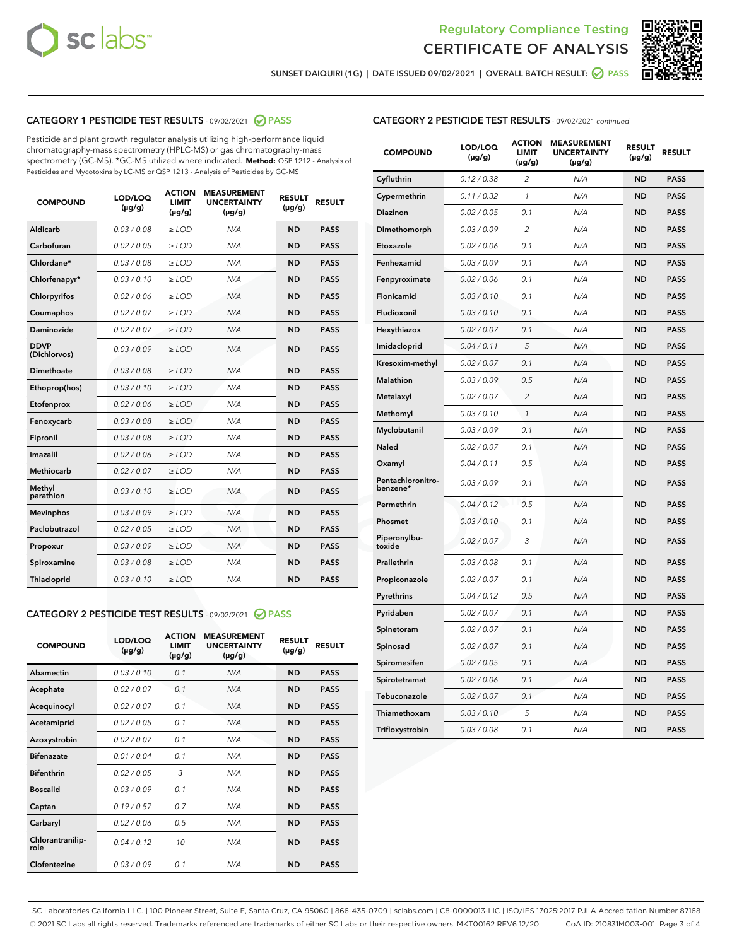



SUNSET DAIQUIRI (1G) | DATE ISSUED 09/02/2021 | OVERALL BATCH RESULT: @ PASS

## CATEGORY 1 PESTICIDE TEST RESULTS - 09/02/2021 2 PASS

Pesticide and plant growth regulator analysis utilizing high-performance liquid chromatography-mass spectrometry (HPLC-MS) or gas chromatography-mass spectrometry (GC-MS). \*GC-MS utilized where indicated. **Method:** QSP 1212 - Analysis of Pesticides and Mycotoxins by LC-MS or QSP 1213 - Analysis of Pesticides by GC-MS

| <b>Aldicarb</b><br>0.03 / 0.08<br><b>ND</b><br>$\ge$ LOD<br>N/A<br><b>PASS</b><br>Carbofuran<br>0.02/0.05<br>$\ge$ LOD<br>N/A<br><b>ND</b><br><b>PASS</b><br>Chlordane*<br>0.03 / 0.08<br><b>ND</b><br>$>$ LOD<br>N/A<br><b>PASS</b><br>0.03/0.10<br><b>ND</b><br><b>PASS</b><br>Chlorfenapyr*<br>$\ge$ LOD<br>N/A<br>0.02 / 0.06<br>N/A<br><b>ND</b><br><b>PASS</b><br>Chlorpyrifos<br>$\ge$ LOD<br>0.02 / 0.07<br>N/A<br><b>ND</b><br><b>PASS</b><br>Coumaphos<br>$>$ LOD<br><b>Daminozide</b><br>0.02 / 0.07<br>$\ge$ LOD<br>N/A<br><b>ND</b><br><b>PASS</b><br><b>DDVP</b><br>0.03/0.09<br>$\ge$ LOD<br>N/A<br><b>ND</b><br><b>PASS</b><br>(Dichlorvos)<br>Dimethoate<br><b>ND</b><br><b>PASS</b><br>0.03 / 0.08<br>$>$ LOD<br>N/A<br>Ethoprop(hos)<br>0.03/0.10<br>$\ge$ LOD<br>N/A<br><b>ND</b><br><b>PASS</b><br>0.02/0.06<br>$\ge$ LOD<br>N/A<br><b>ND</b><br><b>PASS</b><br>Etofenprox<br>Fenoxycarb<br>0.03/0.08<br>$>$ LOD<br>N/A<br><b>ND</b><br><b>PASS</b><br>0.03/0.08<br><b>ND</b><br><b>PASS</b><br>Fipronil<br>$\ge$ LOD<br>N/A<br>Imazalil<br>0.02 / 0.06<br>$>$ LOD<br>N/A<br><b>ND</b><br><b>PASS</b><br>0.02 / 0.07<br>Methiocarb<br>N/A<br><b>ND</b><br>$>$ LOD<br><b>PASS</b><br>Methyl<br>0.03/0.10<br>$\ge$ LOD<br>N/A<br><b>ND</b><br><b>PASS</b><br>parathion<br>0.03/0.09<br>$\ge$ LOD<br>N/A<br><b>ND</b><br><b>PASS</b><br><b>Mevinphos</b><br>Paclobutrazol<br>0.02 / 0.05<br>$\ge$ LOD<br>N/A<br><b>ND</b><br><b>PASS</b><br>0.03/0.09<br>N/A<br>$\ge$ LOD<br><b>ND</b><br><b>PASS</b><br>Propoxur<br>0.03/0.08<br><b>ND</b><br><b>PASS</b><br>Spiroxamine<br>$\ge$ LOD<br>N/A<br><b>PASS</b><br>Thiacloprid<br>0.03/0.10<br>$\ge$ LOD<br>N/A<br><b>ND</b> | <b>COMPOUND</b> | LOD/LOQ<br>$(\mu g/g)$ | <b>ACTION</b><br>LIMIT<br>$(\mu g/g)$ | <b>MEASUREMENT</b><br><b>UNCERTAINTY</b><br>$(\mu g/g)$ | <b>RESULT</b><br>$(\mu g/g)$ | <b>RESULT</b> |
|---------------------------------------------------------------------------------------------------------------------------------------------------------------------------------------------------------------------------------------------------------------------------------------------------------------------------------------------------------------------------------------------------------------------------------------------------------------------------------------------------------------------------------------------------------------------------------------------------------------------------------------------------------------------------------------------------------------------------------------------------------------------------------------------------------------------------------------------------------------------------------------------------------------------------------------------------------------------------------------------------------------------------------------------------------------------------------------------------------------------------------------------------------------------------------------------------------------------------------------------------------------------------------------------------------------------------------------------------------------------------------------------------------------------------------------------------------------------------------------------------------------------------------------------------------------------------------------------------------------------------------------------------------------------------------------------|-----------------|------------------------|---------------------------------------|---------------------------------------------------------|------------------------------|---------------|
|                                                                                                                                                                                                                                                                                                                                                                                                                                                                                                                                                                                                                                                                                                                                                                                                                                                                                                                                                                                                                                                                                                                                                                                                                                                                                                                                                                                                                                                                                                                                                                                                                                                                                             |                 |                        |                                       |                                                         |                              |               |
|                                                                                                                                                                                                                                                                                                                                                                                                                                                                                                                                                                                                                                                                                                                                                                                                                                                                                                                                                                                                                                                                                                                                                                                                                                                                                                                                                                                                                                                                                                                                                                                                                                                                                             |                 |                        |                                       |                                                         |                              |               |
|                                                                                                                                                                                                                                                                                                                                                                                                                                                                                                                                                                                                                                                                                                                                                                                                                                                                                                                                                                                                                                                                                                                                                                                                                                                                                                                                                                                                                                                                                                                                                                                                                                                                                             |                 |                        |                                       |                                                         |                              |               |
|                                                                                                                                                                                                                                                                                                                                                                                                                                                                                                                                                                                                                                                                                                                                                                                                                                                                                                                                                                                                                                                                                                                                                                                                                                                                                                                                                                                                                                                                                                                                                                                                                                                                                             |                 |                        |                                       |                                                         |                              |               |
|                                                                                                                                                                                                                                                                                                                                                                                                                                                                                                                                                                                                                                                                                                                                                                                                                                                                                                                                                                                                                                                                                                                                                                                                                                                                                                                                                                                                                                                                                                                                                                                                                                                                                             |                 |                        |                                       |                                                         |                              |               |
|                                                                                                                                                                                                                                                                                                                                                                                                                                                                                                                                                                                                                                                                                                                                                                                                                                                                                                                                                                                                                                                                                                                                                                                                                                                                                                                                                                                                                                                                                                                                                                                                                                                                                             |                 |                        |                                       |                                                         |                              |               |
|                                                                                                                                                                                                                                                                                                                                                                                                                                                                                                                                                                                                                                                                                                                                                                                                                                                                                                                                                                                                                                                                                                                                                                                                                                                                                                                                                                                                                                                                                                                                                                                                                                                                                             |                 |                        |                                       |                                                         |                              |               |
|                                                                                                                                                                                                                                                                                                                                                                                                                                                                                                                                                                                                                                                                                                                                                                                                                                                                                                                                                                                                                                                                                                                                                                                                                                                                                                                                                                                                                                                                                                                                                                                                                                                                                             |                 |                        |                                       |                                                         |                              |               |
|                                                                                                                                                                                                                                                                                                                                                                                                                                                                                                                                                                                                                                                                                                                                                                                                                                                                                                                                                                                                                                                                                                                                                                                                                                                                                                                                                                                                                                                                                                                                                                                                                                                                                             |                 |                        |                                       |                                                         |                              |               |
|                                                                                                                                                                                                                                                                                                                                                                                                                                                                                                                                                                                                                                                                                                                                                                                                                                                                                                                                                                                                                                                                                                                                                                                                                                                                                                                                                                                                                                                                                                                                                                                                                                                                                             |                 |                        |                                       |                                                         |                              |               |
|                                                                                                                                                                                                                                                                                                                                                                                                                                                                                                                                                                                                                                                                                                                                                                                                                                                                                                                                                                                                                                                                                                                                                                                                                                                                                                                                                                                                                                                                                                                                                                                                                                                                                             |                 |                        |                                       |                                                         |                              |               |
|                                                                                                                                                                                                                                                                                                                                                                                                                                                                                                                                                                                                                                                                                                                                                                                                                                                                                                                                                                                                                                                                                                                                                                                                                                                                                                                                                                                                                                                                                                                                                                                                                                                                                             |                 |                        |                                       |                                                         |                              |               |
|                                                                                                                                                                                                                                                                                                                                                                                                                                                                                                                                                                                                                                                                                                                                                                                                                                                                                                                                                                                                                                                                                                                                                                                                                                                                                                                                                                                                                                                                                                                                                                                                                                                                                             |                 |                        |                                       |                                                         |                              |               |
|                                                                                                                                                                                                                                                                                                                                                                                                                                                                                                                                                                                                                                                                                                                                                                                                                                                                                                                                                                                                                                                                                                                                                                                                                                                                                                                                                                                                                                                                                                                                                                                                                                                                                             |                 |                        |                                       |                                                         |                              |               |
|                                                                                                                                                                                                                                                                                                                                                                                                                                                                                                                                                                                                                                                                                                                                                                                                                                                                                                                                                                                                                                                                                                                                                                                                                                                                                                                                                                                                                                                                                                                                                                                                                                                                                             |                 |                        |                                       |                                                         |                              |               |
|                                                                                                                                                                                                                                                                                                                                                                                                                                                                                                                                                                                                                                                                                                                                                                                                                                                                                                                                                                                                                                                                                                                                                                                                                                                                                                                                                                                                                                                                                                                                                                                                                                                                                             |                 |                        |                                       |                                                         |                              |               |
|                                                                                                                                                                                                                                                                                                                                                                                                                                                                                                                                                                                                                                                                                                                                                                                                                                                                                                                                                                                                                                                                                                                                                                                                                                                                                                                                                                                                                                                                                                                                                                                                                                                                                             |                 |                        |                                       |                                                         |                              |               |
|                                                                                                                                                                                                                                                                                                                                                                                                                                                                                                                                                                                                                                                                                                                                                                                                                                                                                                                                                                                                                                                                                                                                                                                                                                                                                                                                                                                                                                                                                                                                                                                                                                                                                             |                 |                        |                                       |                                                         |                              |               |
|                                                                                                                                                                                                                                                                                                                                                                                                                                                                                                                                                                                                                                                                                                                                                                                                                                                                                                                                                                                                                                                                                                                                                                                                                                                                                                                                                                                                                                                                                                                                                                                                                                                                                             |                 |                        |                                       |                                                         |                              |               |
|                                                                                                                                                                                                                                                                                                                                                                                                                                                                                                                                                                                                                                                                                                                                                                                                                                                                                                                                                                                                                                                                                                                                                                                                                                                                                                                                                                                                                                                                                                                                                                                                                                                                                             |                 |                        |                                       |                                                         |                              |               |
|                                                                                                                                                                                                                                                                                                                                                                                                                                                                                                                                                                                                                                                                                                                                                                                                                                                                                                                                                                                                                                                                                                                                                                                                                                                                                                                                                                                                                                                                                                                                                                                                                                                                                             |                 |                        |                                       |                                                         |                              |               |

#### CATEGORY 2 PESTICIDE TEST RESULTS - 09/02/2021 @ PASS

| <b>COMPOUND</b>          | LOD/LOO<br>$(\mu g/g)$ | <b>ACTION</b><br>LIMIT<br>$(\mu g/g)$ | <b>MEASUREMENT</b><br><b>UNCERTAINTY</b><br>$(\mu g/g)$ | <b>RESULT</b><br>$(\mu g/g)$ | <b>RESULT</b> |
|--------------------------|------------------------|---------------------------------------|---------------------------------------------------------|------------------------------|---------------|
| Abamectin                | 0.03/0.10              | 0.1                                   | N/A                                                     | <b>ND</b>                    | <b>PASS</b>   |
| Acephate                 | 0.02/0.07              | 0.1                                   | N/A                                                     | <b>ND</b>                    | <b>PASS</b>   |
| Acequinocyl              | 0.02/0.07              | 0.1                                   | N/A                                                     | <b>ND</b>                    | <b>PASS</b>   |
| Acetamiprid              | 0.02/0.05              | 0.1                                   | N/A                                                     | <b>ND</b>                    | <b>PASS</b>   |
| Azoxystrobin             | 0.02/0.07              | 0.1                                   | N/A                                                     | <b>ND</b>                    | <b>PASS</b>   |
| <b>Bifenazate</b>        | 0.01 / 0.04            | 0.1                                   | N/A                                                     | <b>ND</b>                    | <b>PASS</b>   |
| <b>Bifenthrin</b>        | 0.02 / 0.05            | 3                                     | N/A                                                     | <b>ND</b>                    | <b>PASS</b>   |
| <b>Boscalid</b>          | 0.03/0.09              | 0.1                                   | N/A                                                     | <b>ND</b>                    | <b>PASS</b>   |
| Captan                   | 0.19/0.57              | 0.7                                   | N/A                                                     | <b>ND</b>                    | <b>PASS</b>   |
| Carbaryl                 | 0.02/0.06              | 0.5                                   | N/A                                                     | <b>ND</b>                    | <b>PASS</b>   |
| Chlorantranilip-<br>role | 0.04/0.12              | 10                                    | N/A                                                     | <b>ND</b>                    | <b>PASS</b>   |
| Clofentezine             | 0.03/0.09              | 0.1                                   | N/A                                                     | <b>ND</b>                    | <b>PASS</b>   |

| <b>COMPOUND</b>               | LOD/LOQ<br>(µg/g) | <b>ACTION</b><br>LIMIT<br>(µg/g) | <b>MEASUREMENT</b><br><b>UNCERTAINTY</b><br>(µg/g) | <b>RESULT</b><br>(µg/g) | <b>RESULT</b> |
|-------------------------------|-------------------|----------------------------------|----------------------------------------------------|-------------------------|---------------|
| Cyfluthrin                    | 0.12 / 0.38       | $\overline{c}$                   | N/A                                                | <b>ND</b>               | <b>PASS</b>   |
| Cypermethrin                  | 0.11/0.32         | 1                                | N/A                                                | <b>ND</b>               | <b>PASS</b>   |
| <b>Diazinon</b>               | 0.02 / 0.05       | 0.1                              | N/A                                                | <b>ND</b>               | <b>PASS</b>   |
| Dimethomorph                  | 0.03 / 0.09       | 2                                | N/A                                                | <b>ND</b>               | <b>PASS</b>   |
| Etoxazole                     | 0.02 / 0.06       | 0.1                              | N/A                                                | <b>ND</b>               | <b>PASS</b>   |
| Fenhexamid                    | 0.03 / 0.09       | 0.1                              | N/A                                                | <b>ND</b>               | <b>PASS</b>   |
| Fenpyroximate                 | 0.02 / 0.06       | 0.1                              | N/A                                                | <b>ND</b>               | <b>PASS</b>   |
| Flonicamid                    | 0.03 / 0.10       | 0.1                              | N/A                                                | <b>ND</b>               | <b>PASS</b>   |
| Fludioxonil                   | 0.03/0.10         | 0.1                              | N/A                                                | <b>ND</b>               | <b>PASS</b>   |
| Hexythiazox                   | 0.02 / 0.07       | 0.1                              | N/A                                                | <b>ND</b>               | <b>PASS</b>   |
| Imidacloprid                  | 0.04 / 0.11       | 5                                | N/A                                                | <b>ND</b>               | <b>PASS</b>   |
| Kresoxim-methyl               | 0.02 / 0.07       | 0.1                              | N/A                                                | <b>ND</b>               | <b>PASS</b>   |
| <b>Malathion</b>              | 0.03 / 0.09       | 0.5                              | N/A                                                | <b>ND</b>               | <b>PASS</b>   |
| Metalaxyl                     | 0.02 / 0.07       | $\overline{c}$                   | N/A                                                | <b>ND</b>               | <b>PASS</b>   |
| Methomyl                      | 0.03 / 0.10       | 1                                | N/A                                                | <b>ND</b>               | <b>PASS</b>   |
| Myclobutanil                  | 0.03/0.09         | 0.1                              | N/A                                                | <b>ND</b>               | <b>PASS</b>   |
| Naled                         | 0.02 / 0.07       | 0.1                              | N/A                                                | <b>ND</b>               | <b>PASS</b>   |
| Oxamyl                        | 0.04 / 0.11       | 0.5                              | N/A                                                | <b>ND</b>               | <b>PASS</b>   |
| Pentachloronitro-<br>benzene* | 0.03/0.09         | 0.1                              | N/A                                                | <b>ND</b>               | <b>PASS</b>   |
| Permethrin                    | 0.04 / 0.12       | 0.5                              | N/A                                                | <b>ND</b>               | <b>PASS</b>   |
| Phosmet                       | 0.03 / 0.10       | 0.1                              | N/A                                                | <b>ND</b>               | <b>PASS</b>   |
| Piperonylbu-<br>toxide        | 0.02 / 0.07       | 3                                | N/A                                                | <b>ND</b>               | <b>PASS</b>   |
| Prallethrin                   | 0.03 / 0.08       | 0.1                              | N/A                                                | <b>ND</b>               | <b>PASS</b>   |
| Propiconazole                 | 0.02 / 0.07       | 0.1                              | N/A                                                | <b>ND</b>               | <b>PASS</b>   |
| Pyrethrins                    | 0.04 / 0.12       | 0.5                              | N/A                                                | <b>ND</b>               | <b>PASS</b>   |
| Pyridaben                     | 0.02 / 0.07       | 0.1                              | N/A                                                | <b>ND</b>               | <b>PASS</b>   |
| Spinetoram                    | 0.02 / 0.07       | 0.1                              | N/A                                                | <b>ND</b>               | <b>PASS</b>   |
| Spinosad                      | 0.02 / 0.07       | 0.1                              | N/A                                                | <b>ND</b>               | <b>PASS</b>   |
| Spiromesifen                  | 0.02 / 0.05       | 0.1                              | N/A                                                | <b>ND</b>               | <b>PASS</b>   |
| Spirotetramat                 | 0.02 / 0.06       | 0.1                              | N/A                                                | <b>ND</b>               | <b>PASS</b>   |
| Tebuconazole                  | 0.02 / 0.07       | 0.1                              | N/A                                                | <b>ND</b>               | <b>PASS</b>   |
| Thiamethoxam                  | 0.03 / 0.10       | 5                                | N/A                                                | <b>ND</b>               | <b>PASS</b>   |
| Trifloxystrobin               | 0.03 / 0.08       | 0.1                              | N/A                                                | <b>ND</b>               | <b>PASS</b>   |

SC Laboratories California LLC. | 100 Pioneer Street, Suite E, Santa Cruz, CA 95060 | 866-435-0709 | sclabs.com | C8-0000013-LIC | ISO/IES 17025:2017 PJLA Accreditation Number 87168 © 2021 SC Labs all rights reserved. Trademarks referenced are trademarks of either SC Labs or their respective owners. MKT00162 REV6 12/20 CoA ID: 210831M003-001 Page 3 of 4